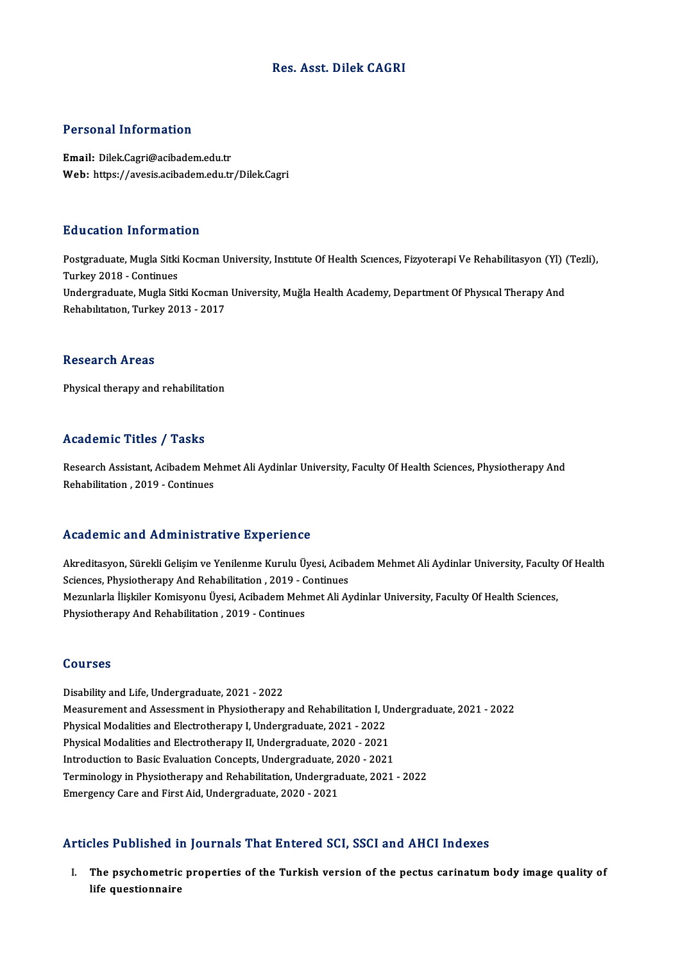## Res. Asst. Dilek CAGRI

## Personal Information

Email: Dilek.Cagri@acibadem.edu.tr Web: https://avesis.acibadem.edu.tr/Dilek.Cagri

## Education Information

**Education Information**<br>Postgraduate, Mugla Sitki Kocman University, Institute Of Health Sciences, Fizyoterapi Ve Rehabilitasyon (Yl) (Tezli),<br>Turkey 2018, Continues Put Cathon Thromat<br>Postgraduate, Mugla Sitki<br>Turkey 2018 - Continues<br>Undergraduate Mugla Sit Postgraduate, Mugla Sitki Kocman University, Institute Of Health Sciences, Fizyoterapi Ve Rehabilitasyon (Yl)<br>Turkey 2018 - Continues<br>Undergraduate, Mugla Sitki Kocman University, Muğla Health Academy, Department Of Physic Turkey 2018 - Continues<br>Undergraduate, Mugla Sitki Kocman<br>Rehabılıtatıon, Turkey 2013 - 2017 Rehabilitation, Turkey 2013 - 2017<br>Research Areas

Physical therapy and rehabilitation

## Academic Titles / Tasks

Academic Titles / Tasks<br>Research Assistant, Acibadem Mehmet Ali Aydinlar University, Faculty Of Health Sciences, Physiotherapy And<br>Rebabilitation, 2019, Continues Research Assistant, Acibadem Me<br>Rehabilitation , 2019 - Continues

# Rehabilitation , 2019 - Continues<br>Academic and Administrative Experience

Academic and Administrative Experience<br>Akreditasyon, Sürekli Gelişim ve Yenilenme Kurulu Üyesi, Acibadem Mehmet Ali Aydinlar University, Faculty Of Health<br>Sejanges Physiotherany And Pehabilitation, 2019, Continues Sciences, Physiotherapy And Rehabilitation<br>Sciences, Physiotherapy And Rehabilitation , 2019 - Continues<br>Meruplarla liabilar Komisyony (lyosi, Asibadam Mohmat Ali Ar Akreditasyon, Sürekli Gelişim ve Yenilenme Kurulu Üyesi, Acibadem Mehmet Ali Aydinlar University, Faculty<br>Sciences, Physiotherapy And Rehabilitation , 2019 - Continues<br>Mezunlarla İlişkiler Komisyonu Üyesi, Acibadem Mehmet Sciences, Physiotherapy And Rehabilitation , 2019 - C<br>Mezunlarla İlişkiler Komisyonu Üyesi, Acibadem Meh<br>Physiotherapy And Rehabilitation , 2019 - Continues Physiotherapy And Rehabilitation , 2019 - Continues<br>Courses

Disability and Life, Undergraduate, 2021 - 2022 USAFIBUS<br>Disability and Life, Undergraduate, 2021 - 2022<br>Measurement and Assessment in Physiotherapy and Rehabilitation I, Undergraduate, 2021 - 2022<br>Physical Modalities and Electrotherapy I, Undergraduate, 2021 - 2022 Disability and Life, Undergraduate, 2021 - 2022<br>Measurement and Assessment in Physiotherapy and Rehabilitation I, U<br>Physical Modalities and Electrotherapy I, Undergraduate, 2021 - 2022<br>Physical Modalities and Electrotherap Measurement and Assessment in Physiotherapy and Rehabilitation I, U<br>Physical Modalities and Electrotherapy I, Undergraduate, 2021 - 2022<br>Physical Modalities and Electrotherapy II, Undergraduate, 2020 - 2021<br>Introduction to Physical Modalities and Electrotherapy I, Undergraduate, 2021 - 2022<br>Physical Modalities and Electrotherapy II, Undergraduate, 2020 - 2021<br>Introduction to Basic Evaluation Concepts, Undergraduate, 2020 - 2021<br>Terminology i Physical Modalities and Electrotherapy II, Undergraduate, 2020 - 2021<br>Introduction to Basic Evaluation Concepts, Undergraduate, 2020 - 2021<br>Terminology in Physiotherapy and Rehabilitation, Undergraduate, 2021 - 2022<br>Emerge Introduction to Basic Evaluation Concepts, Undergraduate, 2020 - 2021<br>Terminology in Physiotherapy and Rehabilitation, Undergraduate, 2021 - 2022<br>Emergency Care and First Aid, Undergraduate, 2020 - 2021

## Articles Published in Journals That Entered SCI, SSCI and AHCI Indexes

I. The psychometric properties of the Turkish version of the pectus carinatumbody image quality of life questionnaire